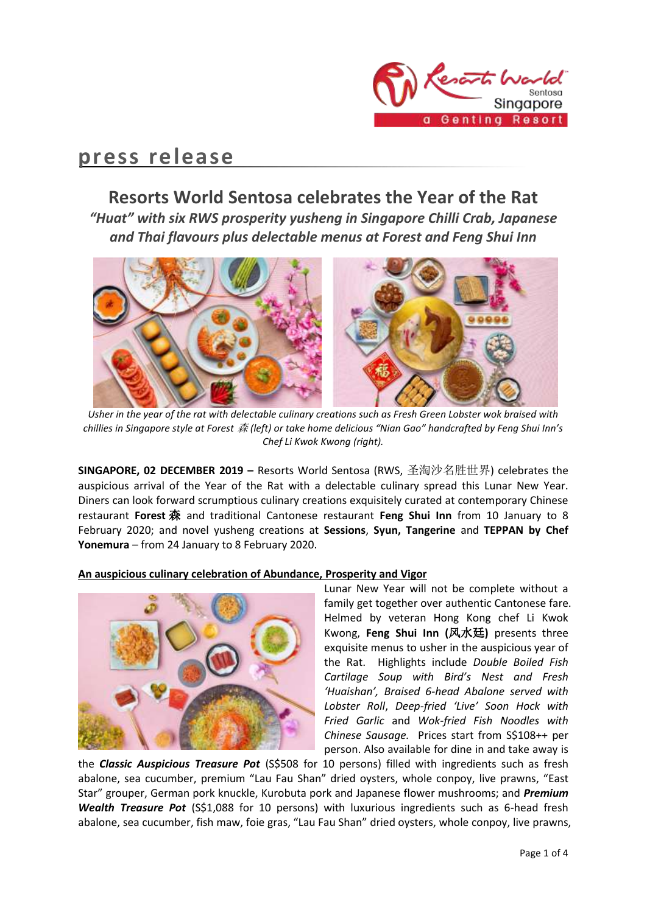

# **press release**

# **Resorts World Sentosa celebrates the Year of the Rat**

*"Huat" with six RWS prosperity yusheng in Singapore Chilli Crab, Japanese and Thai flavours plus delectable menus at Forest and Feng Shui Inn*



*Usher in the year of the rat with delectable culinary creations such as Fresh Green Lobster wok braised with chillies in Singapore style at Forest* 森 *(left) or take home delicious "Nian Gao" handcrafted by Feng Shui Inn's Chef Li Kwok Kwong (right).*

**SINGAPORE, 02 DECEMBER 2019 –** Resorts World Sentosa (RWS, 圣淘沙名胜世界) celebrates the auspicious arrival of the Year of the Rat with a delectable culinary spread this Lunar New Year. Diners can look forward scrumptious culinary creations exquisitely curated at contemporary Chinese restaurant **Forest** 森 and traditional Cantonese restaurant **Feng Shui Inn** from 10 January to 8 February 2020; and novel yusheng creations at **Sessions**, **Syun, Tangerine** and **TEPPAN by Chef Yonemura** – from 24 January to 8 February 2020.

**An auspicious culinary celebration of Abundance, Prosperity and Vigor** 



Lunar New Year will not be complete without a family get together over authentic Cantonese fare. Helmed by veteran Hong Kong chef Li Kwok Kwong, **Feng Shui Inn (**风水廷**)** presents three exquisite menus to usher in the auspicious year of the Rat. Highlights include *Double Boiled Fish Cartilage Soup with Bird's Nest and Fresh 'Huaishan', Braised 6-head Abalone served with Lobster Roll*, *Deep-fried 'Live' Soon Hock with Fried Garlic* and *Wok-fried Fish Noodles with Chinese Sausage.* Prices start from S\$108++ per person. Also available for dine in and take away is

the **Classic Auspicious Treasure Pot** (S\$508 for 10 persons) filled with ingredients such as fresh abalone, sea cucumber, premium "Lau Fau Shan" dried oysters, whole conpoy, live prawns, "East Star" grouper, German pork knuckle, Kurobuta pork and Japanese flower mushrooms; and *Premium Wealth Treasure Pot* (S\$1,088 for 10 persons) with luxurious ingredients such as 6-head fresh abalone, sea cucumber, fish maw, foie gras, "Lau Fau Shan" dried oysters, whole conpoy, live prawns,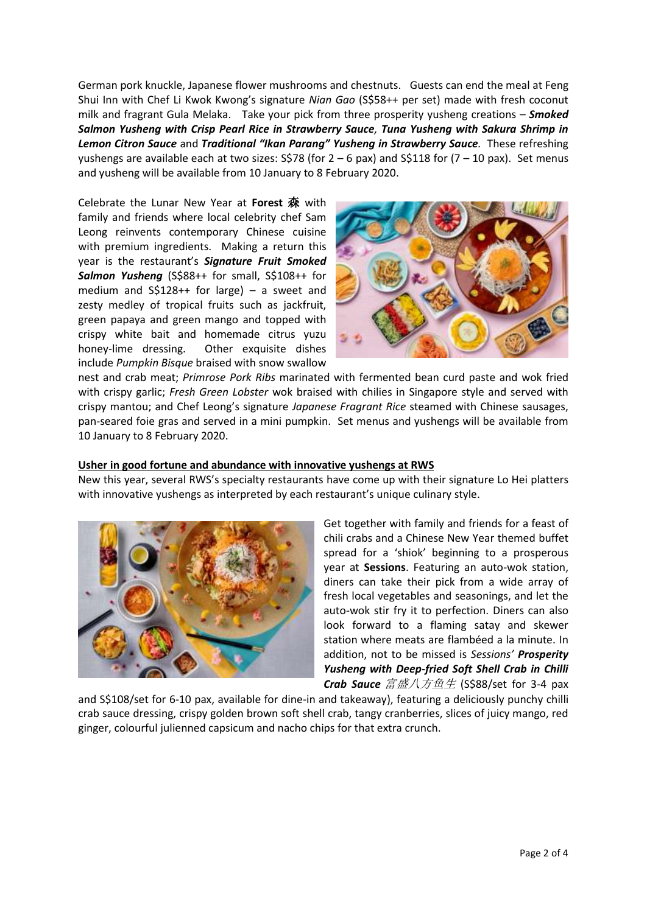German pork knuckle, Japanese flower mushrooms and chestnuts. Guests can end the meal at Feng Shui Inn with Chef Li Kwok Kwong's signature *Nian Gao* (S\$58++ per set) made with fresh coconut milk and fragrant Gula Melaka. Take your pick from three prosperity yusheng creations – *Smoked Salmon Yusheng with Crisp Pearl Rice in Strawberry Sauce, Tuna Yusheng with Sakura Shrimp in Lemon Citron Sauce* and *Traditional "Ikan Parang" Yusheng in Strawberry Sauce.* These refreshing yushengs are available each at two sizes:  $S\frac{5}{8}$  (for  $2 - 6$  pax) and  $S\frac{5}{18}$  for  $(7 - 10)$  pax). Set menus and yusheng will be available from 10 January to 8 February 2020.

Celebrate the Lunar New Year at **Forest** 森 with family and friends where local celebrity chef Sam Leong reinvents contemporary Chinese cuisine with premium ingredients. Making a return this year is the restaurant's *Signature Fruit Smoked Salmon Yusheng* (S\$88++ for small, S\$108++ for medium and S\$128++ for large) – a sweet and zesty medley of tropical fruits such as jackfruit, green papaya and green mango and topped with crispy white bait and homemade citrus yuzu honey-lime dressing. Other exquisite dishes include *Pumpkin Bisque* braised with snow swallow



nest and crab meat; *Primrose Pork Ribs* marinated with fermented bean curd paste and wok fried with crispy garlic; *Fresh Green Lobster* wok braised with chilies in Singapore style and served with crispy mantou; and Chef Leong's signature *Japanese Fragrant Rice* steamed with Chinese sausages, pan-seared foie gras and served in a mini pumpkin. Set menus and yushengs will be available from 10 January to 8 February 2020.

# **Usher in good fortune and abundance with innovative yushengs at RWS**

New this year, several RWS's specialty restaurants have come up with their signature Lo Hei platters with innovative yushengs as interpreted by each restaurant's unique culinary style.



Get together with family and friends for a feast of chili crabs and a Chinese New Year themed buffet spread for a 'shiok' beginning to a prosperous year at **Sessions**. Featuring an auto-wok station, diners can take their pick from a wide array of fresh local vegetables and seasonings, and let the auto-wok stir fry it to perfection. Diners can also look forward to a flaming satay and skewer station where meats are flambéed a la minute. In addition, not to be missed is *Sessions' Prosperity Yusheng with Deep-fried Soft Shell Crab in Chilli Crab Sauce* 富盛八方鱼生 (S\$88/set for 3-4 pax

and S\$108/set for 6-10 pax, available for dine-in and takeaway), featuring a deliciously punchy chilli crab sauce dressing, crispy golden brown soft shell crab, tangy cranberries, slices of juicy mango, red ginger, colourful julienned capsicum and nacho chips for that extra crunch.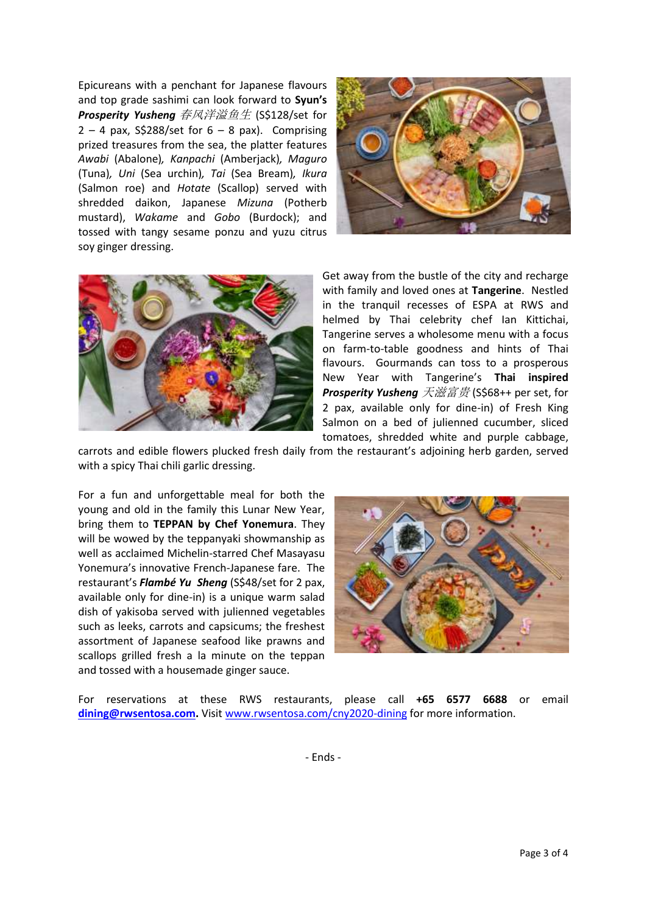Epicureans with a penchant for Japanese flavours and top grade sashimi can look forward to **Syun's**  *Prosperity Yusheng* 春风洋溢鱼生 (S\$128/set for  $2 - 4$  pax, S\$288/set for  $6 - 8$  pax). Comprising prized treasures from the sea, the platter features *Awabi* (Abalone)*, Kanpachi* (Amberjack)*, Maguro* (Tuna)*, Uni* (Sea urchin)*, Tai* (Sea Bream)*, Ikura* (Salmon roe) and *Hotate* (Scallop) served with shredded daikon, Japanese *Mizuna* (Potherb mustard), *Wakame* and *Gobo* (Burdock); and tossed with tangy sesame ponzu and yuzu citrus soy ginger dressing.





Get away from the bustle of the city and recharge with family and loved ones at **Tangerine**. Nestled in the tranquil recesses of ESPA at RWS and helmed by Thai celebrity chef Ian Kittichai, Tangerine serves a wholesome menu with a focus on farm-to-table goodness and hints of Thai flavours. Gourmands can toss to a prosperous New Year with Tangerine's **Thai inspired**  *Prosperity Yusheng* 天滋富贵 (S\$68++ per set, for 2 pax, available only for dine-in) of Fresh King Salmon on a bed of julienned cucumber, sliced tomatoes, shredded white and purple cabbage,

carrots and edible flowers plucked fresh daily from the restaurant's adjoining herb garden, served with a spicy Thai chili garlic dressing.

For a fun and unforgettable meal for both the young and old in the family this Lunar New Year, bring them to **TEPPAN by Chef Yonemura**. They will be wowed by the teppanyaki showmanship as well as acclaimed Michelin-starred Chef Masayasu Yonemura's innovative French-Japanese fare. The restaurant's *Flambé Yu Sheng* (S\$48/set for 2 pax, available only for dine-in) is a unique warm salad dish of yakisoba served with julienned vegetables such as leeks, carrots and capsicums; the freshest assortment of Japanese seafood like prawns and scallops grilled fresh a la minute on the teppan and tossed with a housemade ginger sauce.



For reservations at these RWS restaurants, please call **+65 6577 6688** or email **[dining@rwsentosa.com.](mailto:dining@rwsentosa.com)** Visit [www.rwsentosa.com/cny2020-dining](http://www.rwsentosa.com/cny2020-dining) for more information.

- Ends -